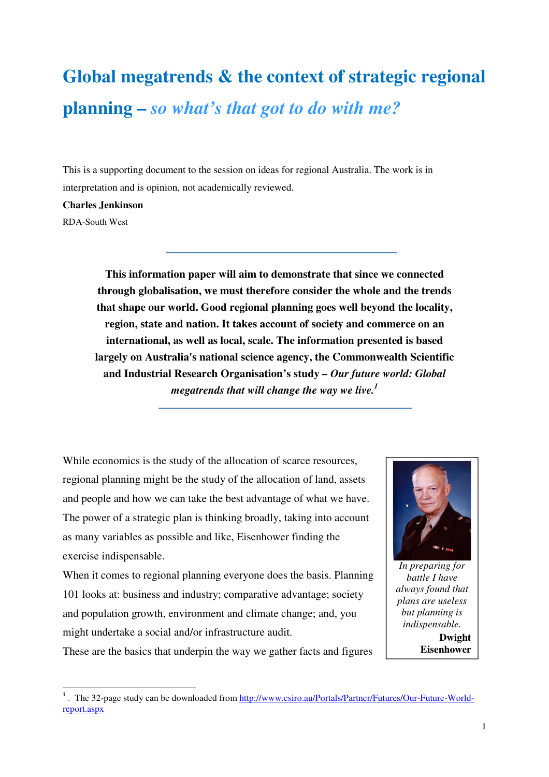# **Global megatrends & the context of strategic regional planning –** *so what's that got to do with me?*

This is a supporting document to the session on ideas for regional Australia. The work is in interpretation and is opinion, not academically reviewed.

#### **Charles Jenkinson**

RDA-South West

**This information paper will aim to demonstrate that since we connected through globalisation, we must therefore consider the whole and the trends that shape our world. Good regional planning goes well beyond the locality, region, state and nation. It takes account of society and commerce on an international, as well as local, scale. The information presented is based largely on Australia's national science agency, the Commonwealth Scientific and Industrial Research Organisation's study** *– Our future world: Global megatrends that will change the way we live.<sup>1</sup>*

While economics is the study of the allocation of scarce resources, regional planning might be the study of the allocation of land, assets and people and how we can take the best advantage of what we have. The power of a strategic plan is thinking broadly, taking into account as many variables as possible and like, Eisenhower finding the exercise indispensable.

When it comes to regional planning everyone does the basis. Planning 101 looks at: business and industry; comparative advantage; society and population growth, environment and climate change; and, you might undertake a social and/or infrastructure audit.

These are the basics that underpin the way we gather facts and figures



*In preparing for battle I have always found that plans are useless but planning is indispensable.* 

**Dwight Eisenhower** 

<sup>&</sup>lt;sup>1</sup>. The 32-page study can be downloaded from http://www.csiro.au/Portals/Partner/Futures/Our-Future-Worldreport.aspx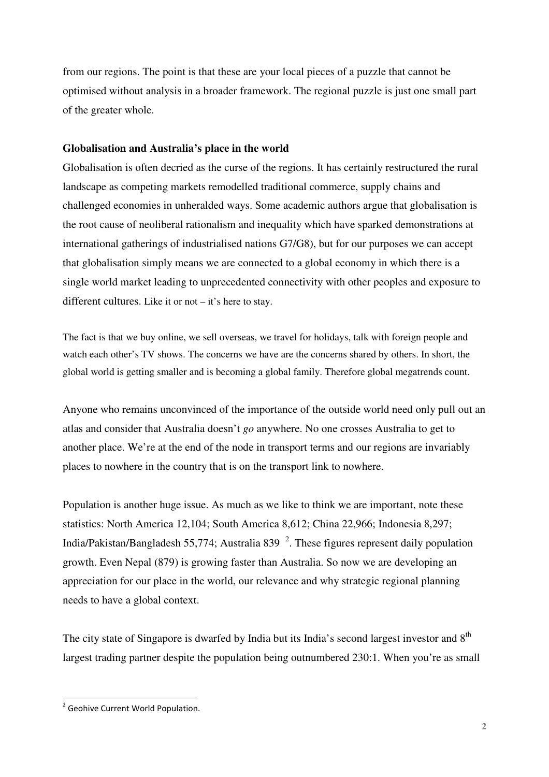from our regions. The point is that these are your local pieces of a puzzle that cannot be optimised without analysis in a broader framework. The regional puzzle is just one small part of the greater whole.

# **Globalisation and Australia's place in the world**

Globalisation is often decried as the curse of the regions. It has certainly restructured the rural landscape as competing markets remodelled traditional commerce, supply chains and challenged economies in unheralded ways. Some academic authors argue that globalisation is the root cause of neoliberal rationalism and inequality which have sparked demonstrations at international gatherings of industrialised nations G7/G8), but for our purposes we can accept that globalisation simply means we are connected to a global economy in which there is a single world market leading to unprecedented connectivity with other peoples and exposure to different cultures. Like it or not – it's here to stay.

The fact is that we buy online, we sell overseas, we travel for holidays, talk with foreign people and watch each other's TV shows. The concerns we have are the concerns shared by others. In short, the global world is getting smaller and is becoming a global family. Therefore global megatrends count.

Anyone who remains unconvinced of the importance of the outside world need only pull out an atlas and consider that Australia doesn't *go* anywhere. No one crosses Australia to get to another place. We're at the end of the node in transport terms and our regions are invariably places to nowhere in the country that is on the transport link to nowhere.

Population is another huge issue. As much as we like to think we are important, note these statistics: North America 12,104; South America 8,612; China 22,966; Indonesia 8,297; India/Pakistan/Bangladesh 55,774; Australia 839 $^2$ . These figures represent daily population growth. Even Nepal (879) is growing faster than Australia. So now we are developing an appreciation for our place in the world, our relevance and why strategic regional planning needs to have a global context.

The city state of Singapore is dwarfed by India but its India's second largest investor and 8<sup>th</sup> largest trading partner despite the population being outnumbered 230:1. When you're as small

l

<sup>&</sup>lt;sup>2</sup> Geohive Current World Population.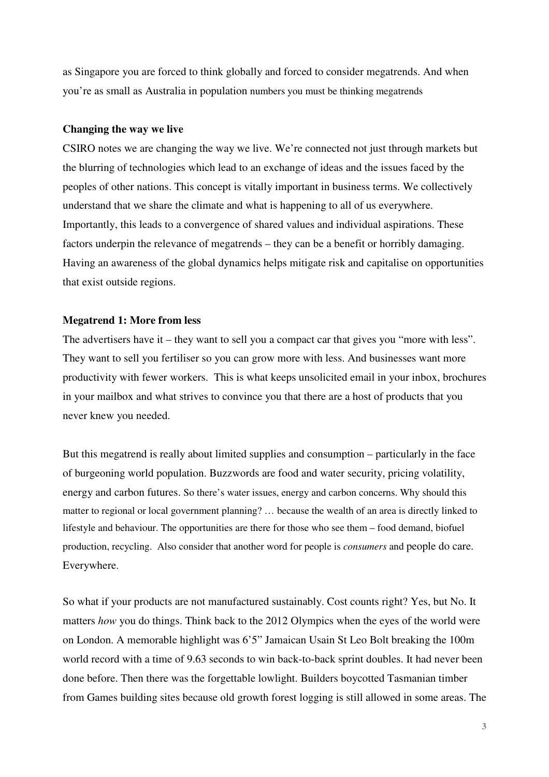as Singapore you are forced to think globally and forced to consider megatrends. And when you're as small as Australia in population numbers you must be thinking megatrends

## **Changing the way we live**

CSIRO notes we are changing the way we live. We're connected not just through markets but the blurring of technologies which lead to an exchange of ideas and the issues faced by the peoples of other nations. This concept is vitally important in business terms. We collectively understand that we share the climate and what is happening to all of us everywhere. Importantly, this leads to a convergence of shared values and individual aspirations. These factors underpin the relevance of megatrends – they can be a benefit or horribly damaging. Having an awareness of the global dynamics helps mitigate risk and capitalise on opportunities that exist outside regions.

## **Megatrend 1: More from less**

The advertisers have it – they want to sell you a compact car that gives you "more with less". They want to sell you fertiliser so you can grow more with less. And businesses want more productivity with fewer workers. This is what keeps unsolicited email in your inbox, brochures in your mailbox and what strives to convince you that there are a host of products that you never knew you needed.

But this megatrend is really about limited supplies and consumption – particularly in the face of burgeoning world population. Buzzwords are food and water security, pricing volatility, energy and carbon futures. So there's water issues, energy and carbon concerns. Why should this matter to regional or local government planning? … because the wealth of an area is directly linked to lifestyle and behaviour. The opportunities are there for those who see them – food demand, biofuel production, recycling. Also consider that another word for people is *consumers* and people do care. Everywhere.

So what if your products are not manufactured sustainably. Cost counts right? Yes, but No. It matters *how* you do things. Think back to the 2012 Olympics when the eyes of the world were on London. A memorable highlight was 6'5" Jamaican Usain St Leo Bolt breaking the 100m world record with a time of 9.63 seconds to win back-to-back sprint doubles. It had never been done before. Then there was the forgettable lowlight. Builders boycotted Tasmanian timber from Games building sites because old growth forest logging is still allowed in some areas. The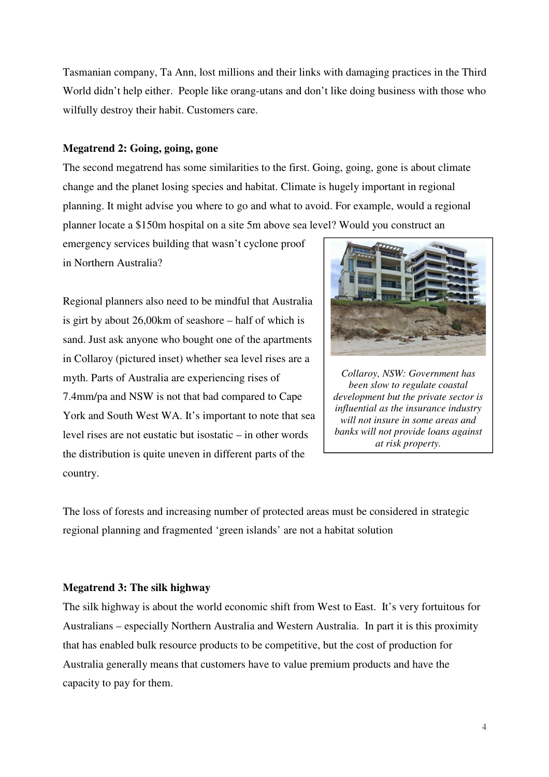Tasmanian company, Ta Ann, lost millions and their links with damaging practices in the Third World didn't help either. People like orang-utans and don't like doing business with those who wilfully destroy their habit. Customers care.

# **Megatrend 2: Going, going, gone**

The second megatrend has some similarities to the first. Going, going, gone is about climate change and the planet losing species and habitat. Climate is hugely important in regional planning. It might advise you where to go and what to avoid. For example, would a regional planner locate a \$150m hospital on a site 5m above sea level? Would you construct an

emergency services building that wasn't cyclone proof in Northern Australia?

Regional planners also need to be mindful that Australia is girt by about 26,00km of seashore – half of which is sand. Just ask anyone who bought one of the apartments in Collaroy (pictured inset) whether sea level rises are a myth. Parts of Australia are experiencing rises of 7.4mm/pa and NSW is not that bad compared to Cape York and South West WA. It's important to note that sea level rises are not eustatic but isostatic – in other words the distribution is quite uneven in different parts of the country.



*Collaroy, NSW: Government has been slow to regulate coastal development but the private sector is influential as the insurance industry will not insure in some areas and banks will not provide loans against at risk property.* 

The loss of forests and increasing number of protected areas must be considered in strategic regional planning and fragmented 'green islands' are not a habitat solution

# **Megatrend 3: The silk highway**

The silk highway is about the world economic shift from West to East. It's very fortuitous for Australians – especially Northern Australia and Western Australia. In part it is this proximity that has enabled bulk resource products to be competitive, but the cost of production for Australia generally means that customers have to value premium products and have the capacity to pay for them.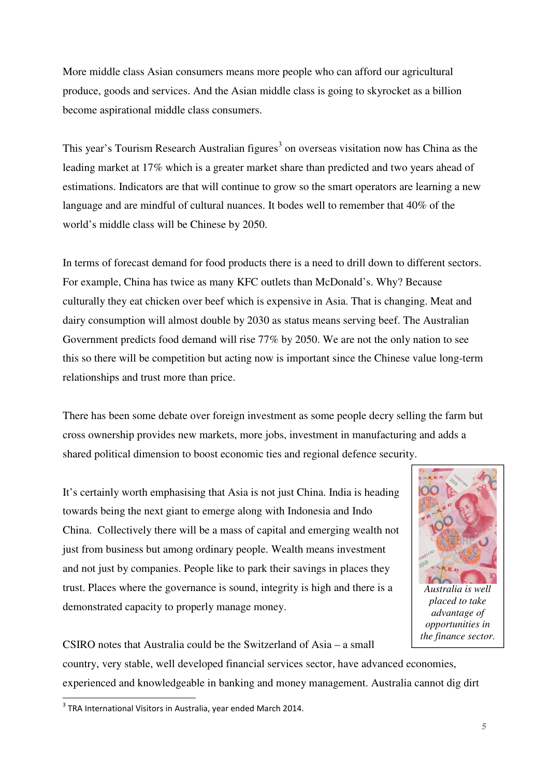More middle class Asian consumers means more people who can afford our agricultural produce, goods and services. And the Asian middle class is going to skyrocket as a billion become aspirational middle class consumers.

This year's Tourism Research Australian figures<sup>3</sup> on overseas visitation now has China as the leading market at 17% which is a greater market share than predicted and two years ahead of estimations. Indicators are that will continue to grow so the smart operators are learning a new language and are mindful of cultural nuances. It bodes well to remember that 40% of the world's middle class will be Chinese by 2050.

In terms of forecast demand for food products there is a need to drill down to different sectors. For example, China has twice as many KFC outlets than McDonald's. Why? Because culturally they eat chicken over beef which is expensive in Asia. That is changing. Meat and dairy consumption will almost double by 2030 as status means serving beef. The Australian Government predicts food demand will rise 77% by 2050. We are not the only nation to see this so there will be competition but acting now is important since the Chinese value long-term relationships and trust more than price.

There has been some debate over foreign investment as some people decry selling the farm but cross ownership provides new markets, more jobs, investment in manufacturing and adds a shared political dimension to boost economic ties and regional defence security.

It's certainly worth emphasising that Asia is not just China. India is heading towards being the next giant to emerge along with Indonesia and Indo China. Collectively there will be a mass of capital and emerging wealth not just from business but among ordinary people. Wealth means investment and not just by companies. People like to park their savings in places they trust. Places where the governance is sound, integrity is high and there is a demonstrated capacity to properly manage money.



*Australia is well placed to take advantage of opportunities in the finance sector.* 

CSIRO notes that Australia could be the Switzerland of Asia – a small

country, very stable, well developed financial services sector, have advanced economies, experienced and knowledgeable in banking and money management. Australia cannot dig dirt

l

 $3$  TRA International Visitors in Australia, year ended March 2014.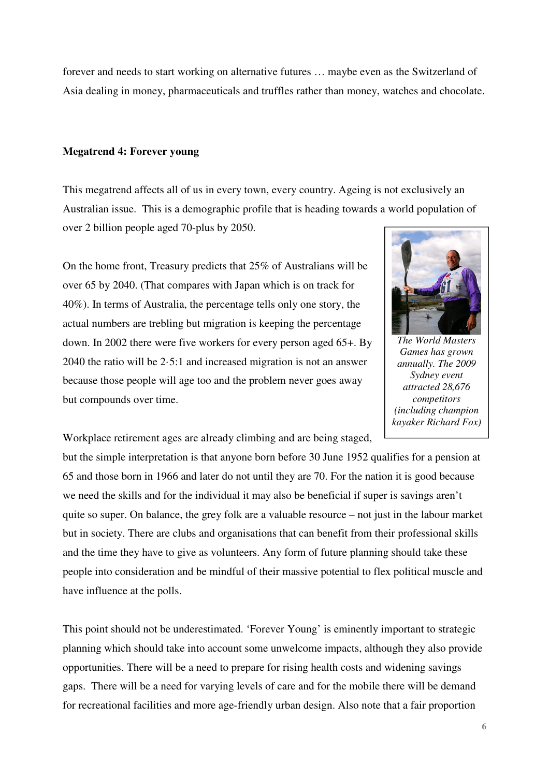forever and needs to start working on alternative futures … maybe even as the Switzerland of Asia dealing in money, pharmaceuticals and truffles rather than money, watches and chocolate.

### **Megatrend 4: Forever young**

This megatrend affects all of us in every town, every country. Ageing is not exclusively an Australian issue. This is a demographic profile that is heading towards a world population of over 2 billion people aged 70-plus by 2050.

On the home front, Treasury predicts that 25% of Australians will be over 65 by 2040. (That compares with Japan which is on track for 40%). In terms of Australia, the percentage tells only one story, the actual numbers are trebling but migration is keeping the percentage down. In 2002 there were five workers for every person aged 65+. By 2040 the ratio will be 2·5:1 and increased migration is not an answer because those people will age too and the problem never goes away but compounds over time.



*The World Masters Games has grown annually. The 2009 Sydney event attracted 28,676 competitors (including champion kayaker Richard Fox)* 

Workplace retirement ages are already climbing and are being staged,

but the simple interpretation is that anyone born before 30 June 1952 qualifies for a pension at 65 and those born in 1966 and later do not until they are 70. For the nation it is good because we need the skills and for the individual it may also be beneficial if super is savings aren't quite so super. On balance, the grey folk are a valuable resource – not just in the labour market but in society. There are clubs and organisations that can benefit from their professional skills and the time they have to give as volunteers. Any form of future planning should take these people into consideration and be mindful of their massive potential to flex political muscle and have influence at the polls.

This point should not be underestimated. 'Forever Young' is eminently important to strategic planning which should take into account some unwelcome impacts, although they also provide opportunities. There will be a need to prepare for rising health costs and widening savings gaps. There will be a need for varying levels of care and for the mobile there will be demand for recreational facilities and more age-friendly urban design. Also note that a fair proportion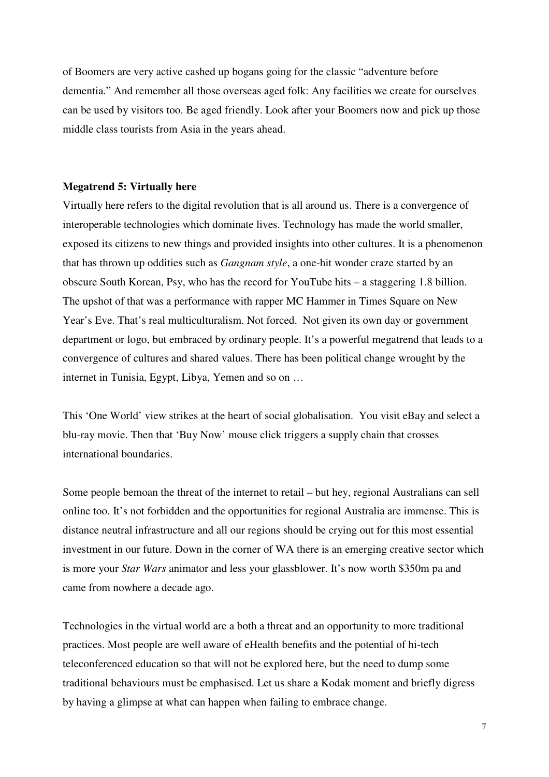of Boomers are very active cashed up bogans going for the classic "adventure before dementia." And remember all those overseas aged folk: Any facilities we create for ourselves can be used by visitors too. Be aged friendly. Look after your Boomers now and pick up those middle class tourists from Asia in the years ahead.

#### **Megatrend 5: Virtually here**

Virtually here refers to the digital revolution that is all around us. There is a convergence of interoperable technologies which dominate lives. Technology has made the world smaller, exposed its citizens to new things and provided insights into other cultures. It is a phenomenon that has thrown up oddities such as *Gangnam style*, a one-hit wonder craze started by an obscure South Korean, Psy, who has the record for YouTube hits – a staggering 1.8 billion. The upshot of that was a performance with rapper MC Hammer in Times Square on New Year's Eve. That's real multiculturalism. Not forced. Not given its own day or government department or logo, but embraced by ordinary people. It's a powerful megatrend that leads to a convergence of cultures and shared values. There has been political change wrought by the internet in Tunisia, Egypt, Libya, Yemen and so on …

This 'One World' view strikes at the heart of social globalisation. You visit eBay and select a blu-ray movie. Then that 'Buy Now' mouse click triggers a supply chain that crosses international boundaries.

Some people bemoan the threat of the internet to retail – but hey, regional Australians can sell online too. It's not forbidden and the opportunities for regional Australia are immense. This is distance neutral infrastructure and all our regions should be crying out for this most essential investment in our future. Down in the corner of WA there is an emerging creative sector which is more your *Star Wars* animator and less your glassblower. It's now worth \$350m pa and came from nowhere a decade ago.

Technologies in the virtual world are a both a threat and an opportunity to more traditional practices. Most people are well aware of eHealth benefits and the potential of hi-tech teleconferenced education so that will not be explored here, but the need to dump some traditional behaviours must be emphasised. Let us share a Kodak moment and briefly digress by having a glimpse at what can happen when failing to embrace change.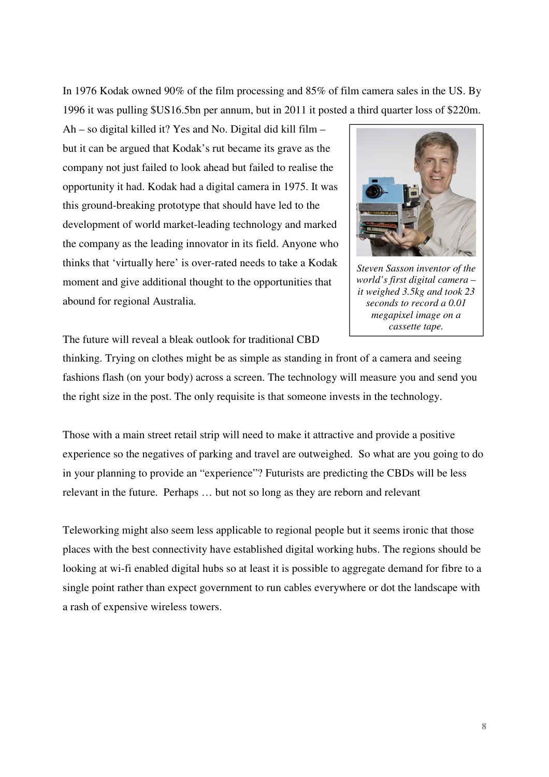In 1976 Kodak owned 90% of the film processing and 85% of film camera sales in the US. By 1996 it was pulling \$US16.5bn per annum, but in 2011 it posted a third quarter loss of \$220m.

Ah – so digital killed it? Yes and No. Digital did kill film – but it can be argued that Kodak's rut became its grave as the company not just failed to look ahead but failed to realise the opportunity it had. Kodak had a digital camera in 1975. It was this ground-breaking prototype that should have led to the development of world market-leading technology and marked the company as the leading innovator in its field. Anyone who thinks that 'virtually here' is over-rated needs to take a Kodak moment and give additional thought to the opportunities that abound for regional Australia.



*Steven Sasson inventor of the world's first digital camera – it weighed 3.5kg and took 23 seconds to record a 0.01 megapixel image on a cassette tape.* 

The future will reveal a bleak outlook for traditional CBD

thinking. Trying on clothes might be as simple as standing in front of a camera and seeing fashions flash (on your body) across a screen. The technology will measure you and send you the right size in the post. The only requisite is that someone invests in the technology.

Those with a main street retail strip will need to make it attractive and provide a positive experience so the negatives of parking and travel are outweighed. So what are you going to do in your planning to provide an "experience"? Futurists are predicting the CBDs will be less relevant in the future. Perhaps … but not so long as they are reborn and relevant

Teleworking might also seem less applicable to regional people but it seems ironic that those places with the best connectivity have established digital working hubs. The regions should be looking at wi-fi enabled digital hubs so at least it is possible to aggregate demand for fibre to a single point rather than expect government to run cables everywhere or dot the landscape with a rash of expensive wireless towers.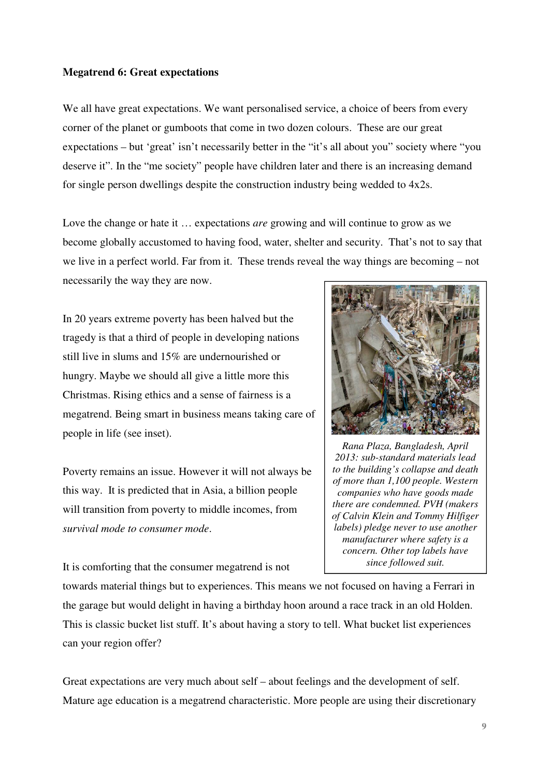# **Megatrend 6: Great expectations**

We all have great expectations. We want personalised service, a choice of beers from every corner of the planet or gumboots that come in two dozen colours. These are our great expectations – but 'great' isn't necessarily better in the "it's all about you" society where "you deserve it". In the "me society" people have children later and there is an increasing demand for single person dwellings despite the construction industry being wedded to 4x2s.

Love the change or hate it … expectations *are* growing and will continue to grow as we become globally accustomed to having food, water, shelter and security. That's not to say that we live in a perfect world. Far from it. These trends reveal the way things are becoming – not necessarily the way they are now.

In 20 years extreme poverty has been halved but the tragedy is that a third of people in developing nations still live in slums and 15% are undernourished or hungry. Maybe we should all give a little more this Christmas. Rising ethics and a sense of fairness is a megatrend. Being smart in business means taking care of people in life (see inset).

Poverty remains an issue. However it will not always be this way. It is predicted that in Asia, a billion people will transition from poverty to middle incomes, from *survival mode to consumer mode*.

It is comforting that the consumer megatrend is not



*Rana Plaza, Bangladesh, April 2013: sub-standard materials lead to the building's collapse and death of more than 1,100 people. Western companies who have goods made there are condemned. PVH (makers of Calvin Klein and Tommy Hilfiger labels) pledge never to use another manufacturer where safety is a concern. Other top labels have since followed suit.* 

towards material things but to experiences. This means we not focused on having a Ferrari in the garage but would delight in having a birthday hoon around a race track in an old Holden. This is classic bucket list stuff. It's about having a story to tell. What bucket list experiences can your region offer?

Great expectations are very much about self – about feelings and the development of self. Mature age education is a megatrend characteristic. More people are using their discretionary